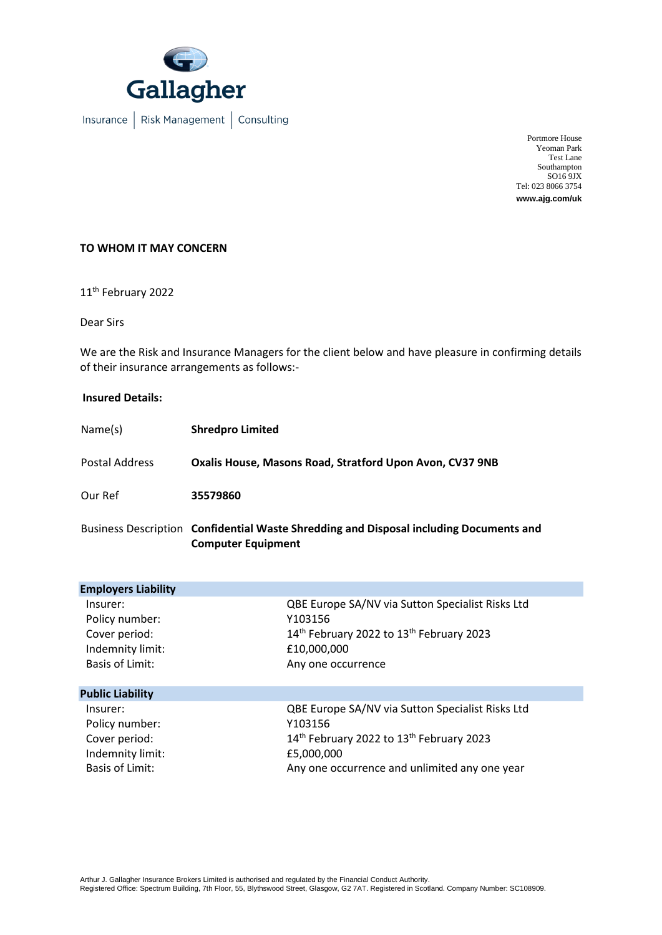

Portmore House Yeoman Park Test Lane Southampton SO16 9JX Tel: 023 8066 3754 **www.ajg.com/uk**

## **TO WHOM IT MAY CONCERN**

11 th February 2022

Dear Sirs

We are the Risk and Insurance Managers for the client below and have pleasure in confirming details of their insurance arrangements as follows:-

## **Insured Details:**

| Name(s)        | <b>Shredpro Limited</b>                                                           |
|----------------|-----------------------------------------------------------------------------------|
| Postal Address | Oxalis House, Masons Road, Stratford Upon Avon, CV37 9NB                          |
| Our Ref        | 35579860                                                                          |
|                | Ducinoss Description Confidential Weste Chrodoline and Disposal including Desumer |

Business Description **Confidential Waste Shredding and Disposal including Documents and Computer Equipment**

| <b>Employers Liability</b> |                                                                  |
|----------------------------|------------------------------------------------------------------|
| Insurer:                   | QBE Europe SA/NV via Sutton Specialist Risks Ltd                 |
| Policy number:             | Y103156                                                          |
| Cover period:              | 14 <sup>th</sup> February 2022 to 13 <sup>th</sup> February 2023 |
| Indemnity limit:           | £10,000,000                                                      |
| <b>Basis of Limit:</b>     | Any one occurrence                                               |
| <b>Public Liability</b>    |                                                                  |
| Insurer:                   | QBE Europe SA/NV via Sutton Specialist Risks Ltd                 |
| Policy number:             | Y103156                                                          |
| Cover period:              | 14th February 2022 to 13th February 2023                         |
| Indemnity limit:           | £5,000,000                                                       |
| <b>Basis of Limit:</b>     | Any one occurrence and unlimited any one year                    |